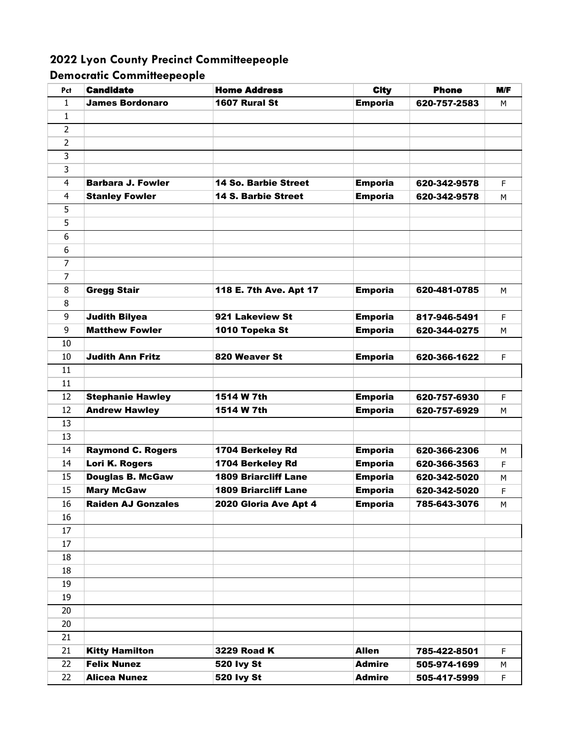## **2022 Lyon County Precinct Committeepeople**

## **Democratic Committeepeople**

| Pct            | <b>Candidate</b>          | <b>Home Address</b>         | <b>City</b>    | <b>Phone</b> | M/F       |
|----------------|---------------------------|-----------------------------|----------------|--------------|-----------|
| 1              | <b>James Bordonaro</b>    | 1607 Rural St               | <b>Emporia</b> | 620-757-2583 | м         |
| 1              |                           |                             |                |              |           |
| 2              |                           |                             |                |              |           |
| 2              |                           |                             |                |              |           |
| 3              |                           |                             |                |              |           |
| 3              |                           |                             |                |              |           |
| 4              | <b>Barbara J. Fowler</b>  | <b>14 So. Barbie Street</b> | <b>Emporia</b> | 620-342-9578 | F.        |
| 4              | <b>Stanley Fowler</b>     | <b>14 S. Barbie Street</b>  | <b>Emporia</b> | 620-342-9578 | м         |
| 5              |                           |                             |                |              |           |
| 5              |                           |                             |                |              |           |
| 6              |                           |                             |                |              |           |
| 6              |                           |                             |                |              |           |
| $\overline{7}$ |                           |                             |                |              |           |
| 7              |                           |                             |                |              |           |
| 8              | <b>Gregg Stair</b>        | 118 E. 7th Ave. Apt 17      | <b>Emporia</b> | 620-481-0785 | м         |
| 8              |                           |                             |                |              |           |
| 9              | <b>Judith Bilyea</b>      | 921 Lakeview St             | <b>Emporia</b> | 817-946-5491 | F.        |
| 9              | <b>Matthew Fowler</b>     | 1010 Topeka St              | <b>Emporia</b> | 620-344-0275 | М         |
| 10             |                           |                             |                |              |           |
| 10             | <b>Judith Ann Fritz</b>   | 820 Weaver St               | <b>Emporia</b> | 620-366-1622 | F.        |
| 11             |                           |                             |                |              |           |
| 11             |                           |                             |                |              |           |
| 12             | <b>Stephanie Hawley</b>   | 1514 W 7th                  | <b>Emporia</b> | 620-757-6930 | F         |
| 12             | <b>Andrew Hawley</b>      | 1514 W 7th                  | <b>Emporia</b> | 620-757-6929 | м         |
| 13             |                           |                             |                |              |           |
| 13             |                           |                             |                |              |           |
| 14             | <b>Raymond C. Rogers</b>  | 1704 Berkeley Rd            | <b>Emporia</b> | 620-366-2306 | М         |
| 14             | Lori K. Rogers            | 1704 Berkeley Rd            | <b>Emporia</b> | 620-366-3563 | F         |
| 15             | <b>Douglas B. McGaw</b>   | <b>1809 Briarcliff Lane</b> | <b>Emporia</b> | 620-342-5020 | м         |
| 15             | <b>Mary McGaw</b>         | <b>1809 Briarcliff Lane</b> | <b>Emporia</b> | 620-342-5020 | F.        |
| 16             | <b>Raiden AJ Gonzales</b> | 2020 Gloria Ave Apt 4       | <b>Emporia</b> | 785-643-3076 | ${\sf M}$ |
| 16             |                           |                             |                |              |           |
| 17             |                           |                             |                |              |           |
| 17             |                           |                             |                |              |           |
| 18             |                           |                             |                |              |           |
| 18             |                           |                             |                |              |           |
| 19             |                           |                             |                |              |           |
| 19             |                           |                             |                |              |           |
| 20             |                           |                             |                |              |           |
| 20             |                           |                             |                |              |           |
| 21             |                           |                             |                |              |           |
| 21             | <b>Kitty Hamilton</b>     | 3229 Road K                 | <b>Allen</b>   | 785-422-8501 | F.        |
| 22             | <b>Felix Nunez</b>        | 520 lvy St                  | <b>Admire</b>  | 505-974-1699 | М         |
| 22             | <b>Alicea Nunez</b>       | 520 lvy St                  | <b>Admire</b>  | 505-417-5999 | F.        |